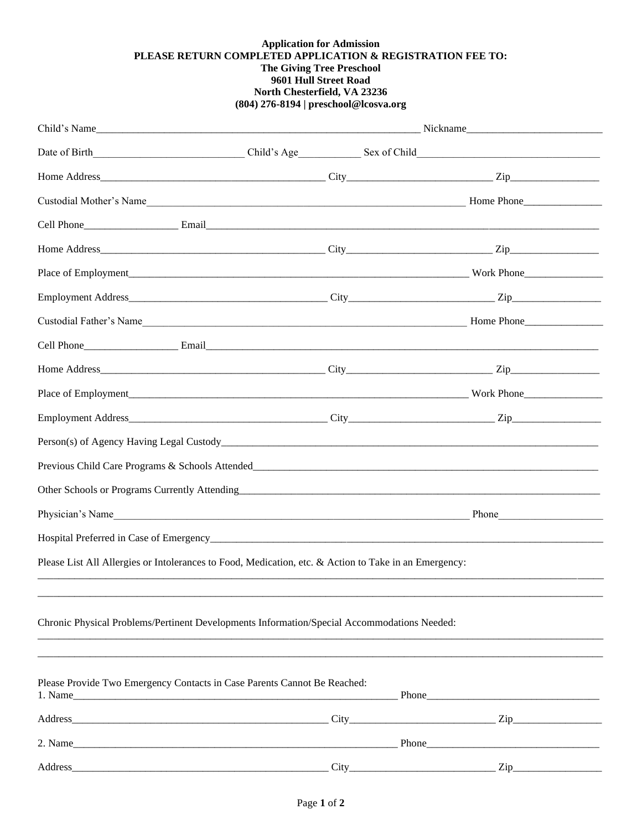## **Application for Admission** PLEASE RETURN COMPLETED APPLICATION & REGISTRATION FEE TO: The Giving Tree Preschool<br>9601 Hull Street Road North Chesterfield, VA 23236 (804) 276-8194 | preschool@lcosva.org

|                                                                                                       | Child's Name<br>Nickname |                  |  |
|-------------------------------------------------------------------------------------------------------|--------------------------|------------------|--|
| Date of Birth Child's Age Sex of Child                                                                |                          |                  |  |
|                                                                                                       |                          |                  |  |
|                                                                                                       |                          |                  |  |
|                                                                                                       |                          |                  |  |
|                                                                                                       |                          |                  |  |
|                                                                                                       |                          |                  |  |
|                                                                                                       |                          |                  |  |
|                                                                                                       |                          |                  |  |
|                                                                                                       |                          |                  |  |
|                                                                                                       |                          |                  |  |
|                                                                                                       |                          |                  |  |
|                                                                                                       |                          |                  |  |
|                                                                                                       |                          |                  |  |
| Previous Child Care Programs & Schools Attended                                                       |                          |                  |  |
|                                                                                                       |                          |                  |  |
| Physician's Name                                                                                      |                          | Phone            |  |
|                                                                                                       |                          |                  |  |
| Please List All Allergies or Intolerances to Food, Medication, etc. & Action to Take in an Emergency: |                          |                  |  |
| Chronic Physical Problems/Pertinent Developments Information/Special Accommodations Needed:           |                          |                  |  |
| Please Provide Two Emergency Contacts in Case Parents Cannot Be Reached:                              |                          |                  |  |
|                                                                                                       |                          |                  |  |
| 2. Name                                                                                               |                          |                  |  |
| Address_                                                                                              |                          | $\mathsf{Zip}\_$ |  |